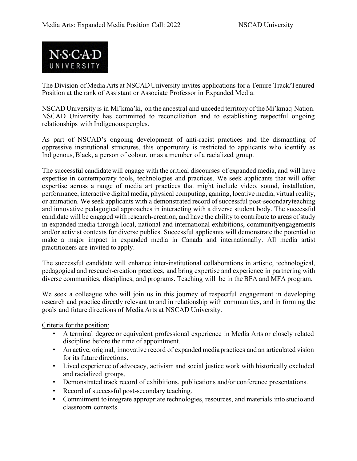

The Division of Media Arts at NSCAD University invites applications for a Tenure Track/Tenured Position at the rank of Assistant or Associate Professor in Expanded Media.

NSCAD University is in Mi'kma'ki, on the ancestral and unceded territory of the Mi'kmaq Nation. NSCAD University has committed to reconciliation and to establishing respectful ongoing relationships with Indigenous peoples.

As part of NSCAD's ongoing development of anti-racist practices and the dismantling of oppressive institutional structures, this opportunity is restricted to applicants who identify as Indigenous, Black, a person of colour, or as a member of a racialized group.

The successful candidatewill engage with the critical discourses of expanded media, and will have expertise in contemporary tools, technologies and practices. We seek applicants that will offer expertise across a range of media art practices that might include video, sound, installation, performance, interactive digital media, physical computing, gaming, locative media, virtual reality, or animation. We seek applicants with a demonstrated record of successful post-secondaryteaching and innovative pedagogical approaches in interacting with a diverse student body. The successful candidate will be engaged with research-creation, and have the ability to contribute to areas of study in expanded media through local, national and international exhibitions, communityengagements and/or activist contexts for diverse publics. Successful applicants will demonstrate the potential to make a major impact in expanded media in Canada and internationally. All media artist practitioners are invited to apply.

The successful candidate will enhance inter-institutional collaborations in artistic, technological, pedagogical and research-creation practices, and bring expertise and experience in partnering with diverse communities, disciplines, and programs. Teaching will be in the BFA and MFA program.

We seek a colleague who will join us in this journey of respectful engagement in developing research and practice directly relevant to and in relationship with communities, and in forming the goals and future directions of Media Arts at NSCAD University.

Criteria for the position:

- A terminal degree or equivalent professional experience in Media Arts or closely related discipline before the time of appointment.
- An active, original, innovative record of expanded media practices and an articulated vision for its future directions.
- Lived experience of advocacy, activism and social justice work with historically excluded and racialized groups.
- Demonstrated track record of exhibitions, publications and/or conference presentations.
- Record of successful post-secondary teaching.
- Commitment to integrate appropriate technologies, resources, and materials into studio and classroom contexts.